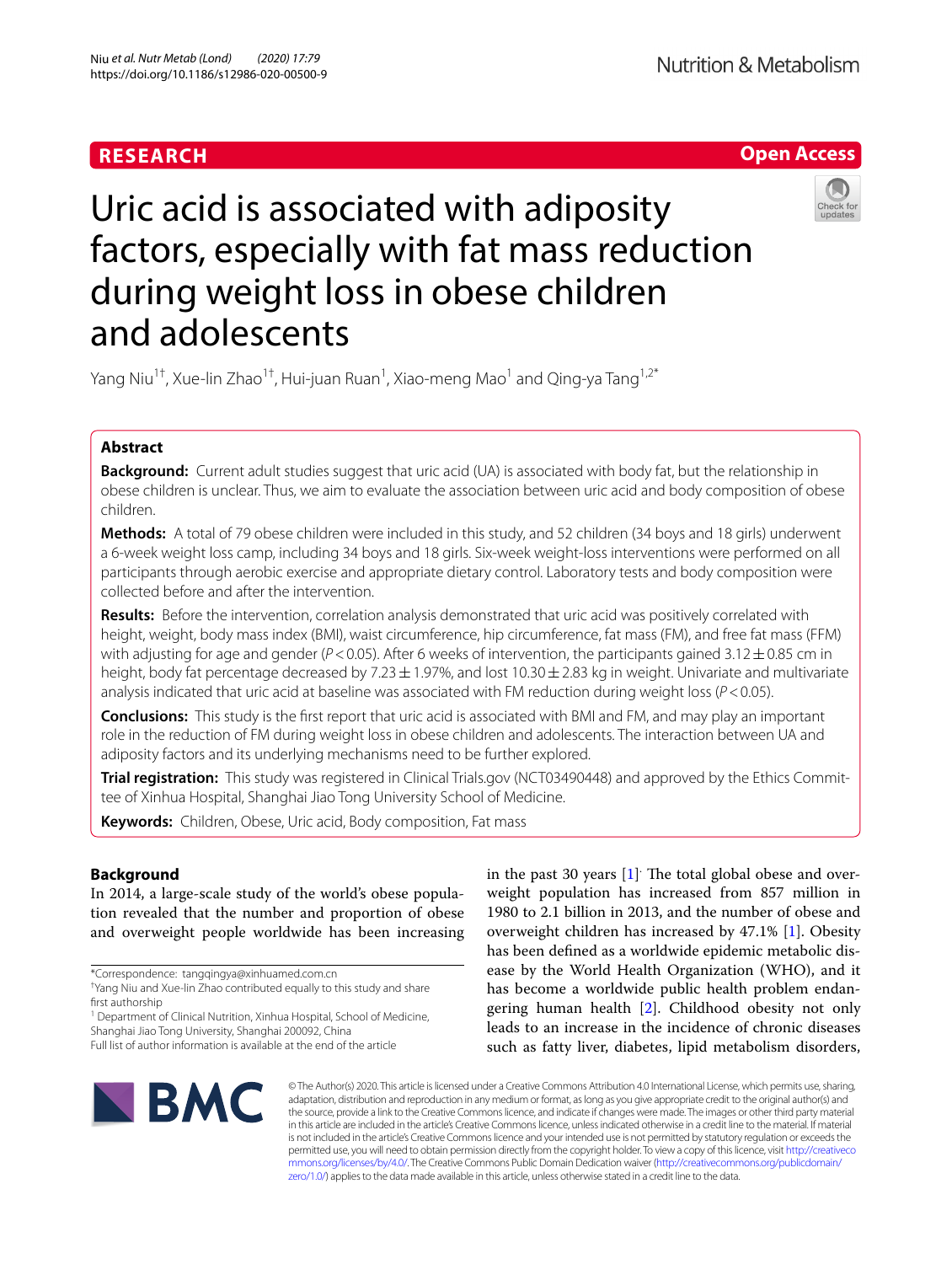# **RESEARCH**



# Uric acid is associated with adiposity factors, especially with fat mass reduction during weight loss in obese children and adolescents



Yang Niu<sup>1†</sup>, Xue-lin Zhao<sup>1†</sup>, Hui-juan Ruan<sup>1</sup>, Xiao-meng Mao<sup>1</sup> and Qing-ya Tang<sup>1,2\*</sup>

# **Abstract**

**Background:** Current adult studies suggest that uric acid (UA) is associated with body fat, but the relationship in obese children is unclear. Thus, we aim to evaluate the association between uric acid and body composition of obese children.

**Methods:** A total of 79 obese children were included in this study, and 52 children (34 boys and 18 girls) underwent a 6-week weight loss camp, including 34 boys and 18 girls. Six-week weight-loss interventions were performed on all participants through aerobic exercise and appropriate dietary control. Laboratory tests and body composition were collected before and after the intervention.

**Results:** Before the intervention, correlation analysis demonstrated that uric acid was positively correlated with height, weight, body mass index (BMI), waist circumference, hip circumference, fat mass (FM), and free fat mass (FFM) with adjusting for age and gender ( $P < 0.05$ ). After 6 weeks of intervention, the participants gained  $3.12 \pm 0.85$  cm in height, body fat percentage decreased by 7.23  $\pm$  1.97%, and lost 10.30  $\pm$  2.83 kg in weight. Univariate and multivariate analysis indicated that uric acid at baseline was associated with FM reduction during weight loss (*P*<0.05).

**Conclusions:** This study is the frst report that uric acid is associated with BMI and FM, and may play an important role in the reduction of FM during weight loss in obese children and adolescents. The interaction between UA and adiposity factors and its underlying mechanisms need to be further explored.

**Trial registration:** This study was registered in Clinical Trials.gov (NCT03490448) and approved by the Ethics Committee of Xinhua Hospital, Shanghai Jiao Tong University School of Medicine.

**Keywords:** Children, Obese, Uric acid, Body composition, Fat mass

# **Background**

In 2014, a large-scale study of the world's obese population revealed that the number and proportion of obese and overweight people worldwide has been increasing

<sup>1</sup> Department of Clinical Nutrition, Xinhua Hospital, School of Medicine, Shanghai Jiao Tong University, Shanghai 200092, China

in the past 30 years  $[1]$  $[1]$ . The total global obese and overweight population has increased from 857 million in 1980 to 2.1 billion in 2013, and the number of obese and overweight children has increased by 47.1% [\[1](#page-5-0)]. Obesity has been defned as a worldwide epidemic metabolic disease by the World Health Organization (WHO), and it has become a worldwide public health problem endangering human health [\[2](#page-5-1)]. Childhood obesity not only leads to an increase in the incidence of chronic diseases such as fatty liver, diabetes, lipid metabolism disorders,



© The Author(s) 2020. This article is licensed under a Creative Commons Attribution 4.0 International License, which permits use, sharing, adaptation, distribution and reproduction in any medium or format, as long as you give appropriate credit to the original author(s) and the source, provide a link to the Creative Commons licence, and indicate if changes were made. The images or other third party material in this article are included in the article's Creative Commons licence, unless indicated otherwise in a credit line to the material. If material is not included in the article's Creative Commons licence and your intended use is not permitted by statutory regulation or exceeds the permitted use, you will need to obtain permission directly from the copyright holder. To view a copy of this licence, visit [http://creativeco](http://creativecommons.org/licenses/by/4.0/) [mmons.org/licenses/by/4.0/.](http://creativecommons.org/licenses/by/4.0/) The Creative Commons Public Domain Dedication waiver ([http://creativecommons.org/publicdomain/](http://creativecommons.org/publicdomain/zero/1.0/) [zero/1.0/\)](http://creativecommons.org/publicdomain/zero/1.0/) applies to the data made available in this article, unless otherwise stated in a credit line to the data.

<sup>\*</sup>Correspondence: tangqingya@xinhuamed.com.cn

<sup>†</sup> Yang Niu and Xue-lin Zhao contributed equally to this study and share frst authorship

Full list of author information is available at the end of the article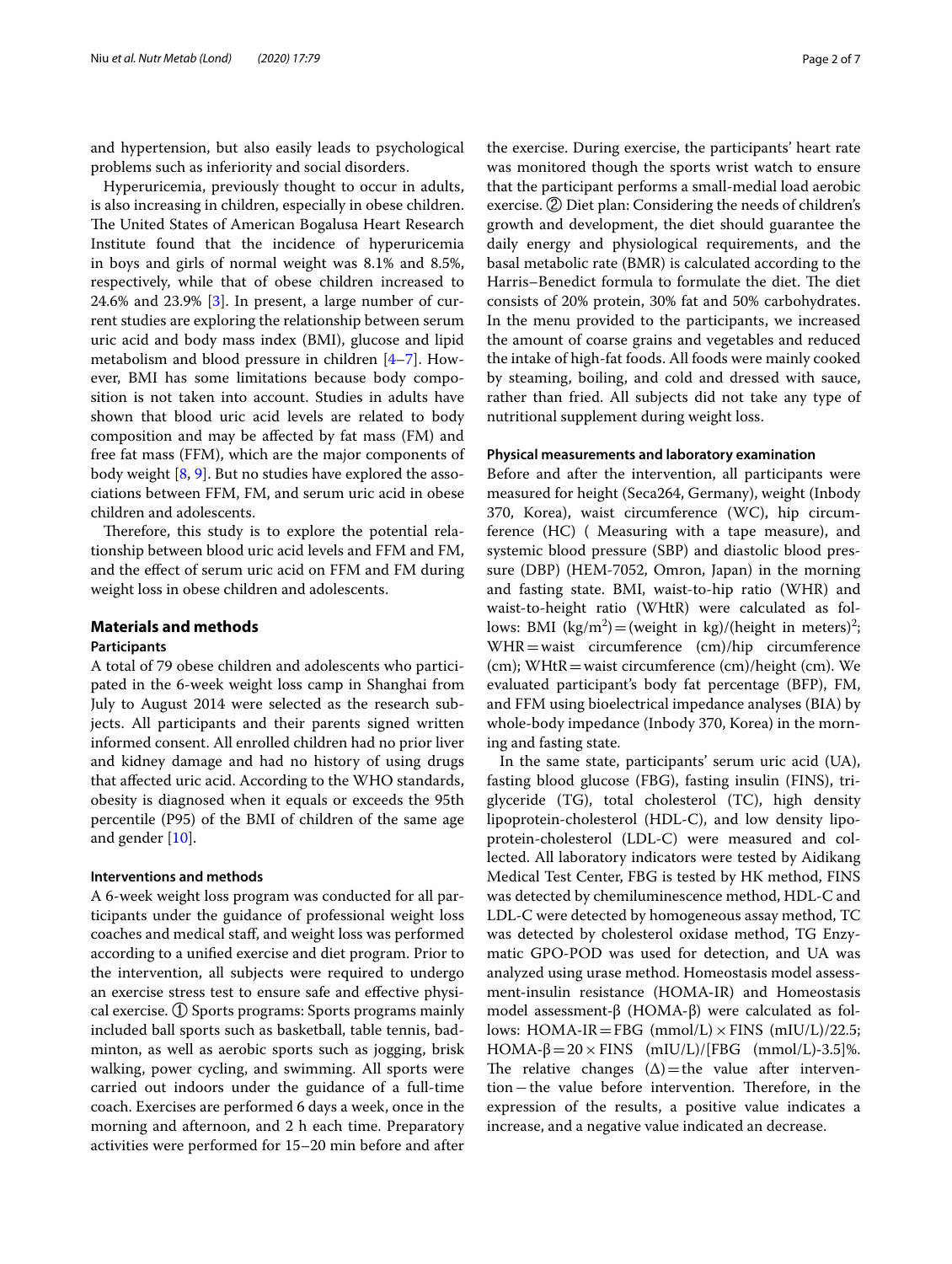and hypertension, but also easily leads to psychological problems such as inferiority and social disorders.

Hyperuricemia, previously thought to occur in adults, is also increasing in children, especially in obese children. The United States of American Bogalusa Heart Research Institute found that the incidence of hyperuricemia in boys and girls of normal weight was 8.1% and 8.5%, respectively, while that of obese children increased to 24.6% and 23.9%  $[3]$  $[3]$ . In present, a large number of current studies are exploring the relationship between serum uric acid and body mass index (BMI), glucose and lipid metabolism and blood pressure in children [[4–](#page-5-3)[7\]](#page-5-4). However, BMI has some limitations because body composition is not taken into account. Studies in adults have shown that blood uric acid levels are related to body composition and may be afected by fat mass (FM) and free fat mass (FFM), which are the major components of body weight [\[8](#page-5-5), [9\]](#page-5-6). But no studies have explored the associations between FFM, FM, and serum uric acid in obese children and adolescents.

Therefore, this study is to explore the potential relationship between blood uric acid levels and FFM and FM, and the efect of serum uric acid on FFM and FM during weight loss in obese children and adolescents.

# **Materials and methods**

# **Participants**

A total of 79 obese children and adolescents who participated in the 6-week weight loss camp in Shanghai from July to August 2014 were selected as the research subjects. All participants and their parents signed written informed consent. All enrolled children had no prior liver and kidney damage and had no history of using drugs that afected uric acid. According to the WHO standards, obesity is diagnosed when it equals or exceeds the 95th percentile (P95) of the BMI of children of the same age and gender [[10\]](#page-5-7).

#### **Interventions and methods**

A 6-week weight loss program was conducted for all participants under the guidance of professional weight loss coaches and medical staf, and weight loss was performed according to a unifed exercise and diet program. Prior to the intervention, all subjects were required to undergo an exercise stress test to ensure safe and efective physical exercise. ① Sports programs: Sports programs mainly included ball sports such as basketball, table tennis, badminton, as well as aerobic sports such as jogging, brisk walking, power cycling, and swimming. All sports were carried out indoors under the guidance of a full-time coach. Exercises are performed 6 days a week, once in the morning and afternoon, and 2 h each time. Preparatory activities were performed for 15–20 min before and after the exercise. During exercise, the participants' heart rate was monitored though the sports wrist watch to ensure that the participant performs a small-medial load aerobic exercise. ② Diet plan: Considering the needs of children's growth and development, the diet should guarantee the daily energy and physiological requirements, and the basal metabolic rate (BMR) is calculated according to the Harris–Benedict formula to formulate the diet. The diet consists of 20% protein, 30% fat and 50% carbohydrates. In the menu provided to the participants, we increased the amount of coarse grains and vegetables and reduced the intake of high-fat foods. All foods were mainly cooked by steaming, boiling, and cold and dressed with sauce, rather than fried. All subjects did not take any type of nutritional supplement during weight loss.

#### **Physical measurements and laboratory examination**

Before and after the intervention, all participants were measured for height (Seca264, Germany), weight (Inbody 370, Korea), waist circumference (WC), hip circumference (HC) ( Measuring with a tape measure), and systemic blood pressure (SBP) and diastolic blood pressure (DBP) (HEM-7052, Omron, Japan) in the morning and fasting state. BMI, waist-to-hip ratio (WHR) and waist-to-height ratio (WHtR) were calculated as follows: BMI  $(kg/m^2) = (weight in kg)/(height in meters)^2;$ WHR=waist circumference (cm)/hip circumference (cm); WHtR=waist circumference (cm)/height (cm). We evaluated participant's body fat percentage (BFP), FM, and FFM using bioelectrical impedance analyses (BIA) by whole-body impedance (Inbody 370, Korea) in the morning and fasting state.

In the same state, participants' serum uric acid (UA), fasting blood glucose (FBG), fasting insulin (FINS), triglyceride (TG), total cholesterol (TC), high density lipoprotein-cholesterol (HDL-C), and low density lipoprotein-cholesterol (LDL-C) were measured and collected. All laboratory indicators were tested by Aidikang Medical Test Center, FBG is tested by HK method, FINS was detected by chemiluminescence method, HDL-C and LDL-C were detected by homogeneous assay method, TC was detected by cholesterol oxidase method, TG Enzymatic GPO-POD was used for detection, and UA was analyzed using urase method. Homeostasis model assessment-insulin resistance (HOMA-IR) and Homeostasis model assessment‐β (HOMA‐β) were calculated as follows:  $HOMA-IR = FBG (mmol/L) \times FINS (mIU/L)/22.5;$ HOMA- $\beta = 20 \times$  FINS (mIU/L)/[FBG (mmol/L)-3.5]%. The relative changes  $(\Delta)$  = the value after intervention−the value before intervention. Therefore, in the expression of the results, a positive value indicates a increase, and a negative value indicated an decrease.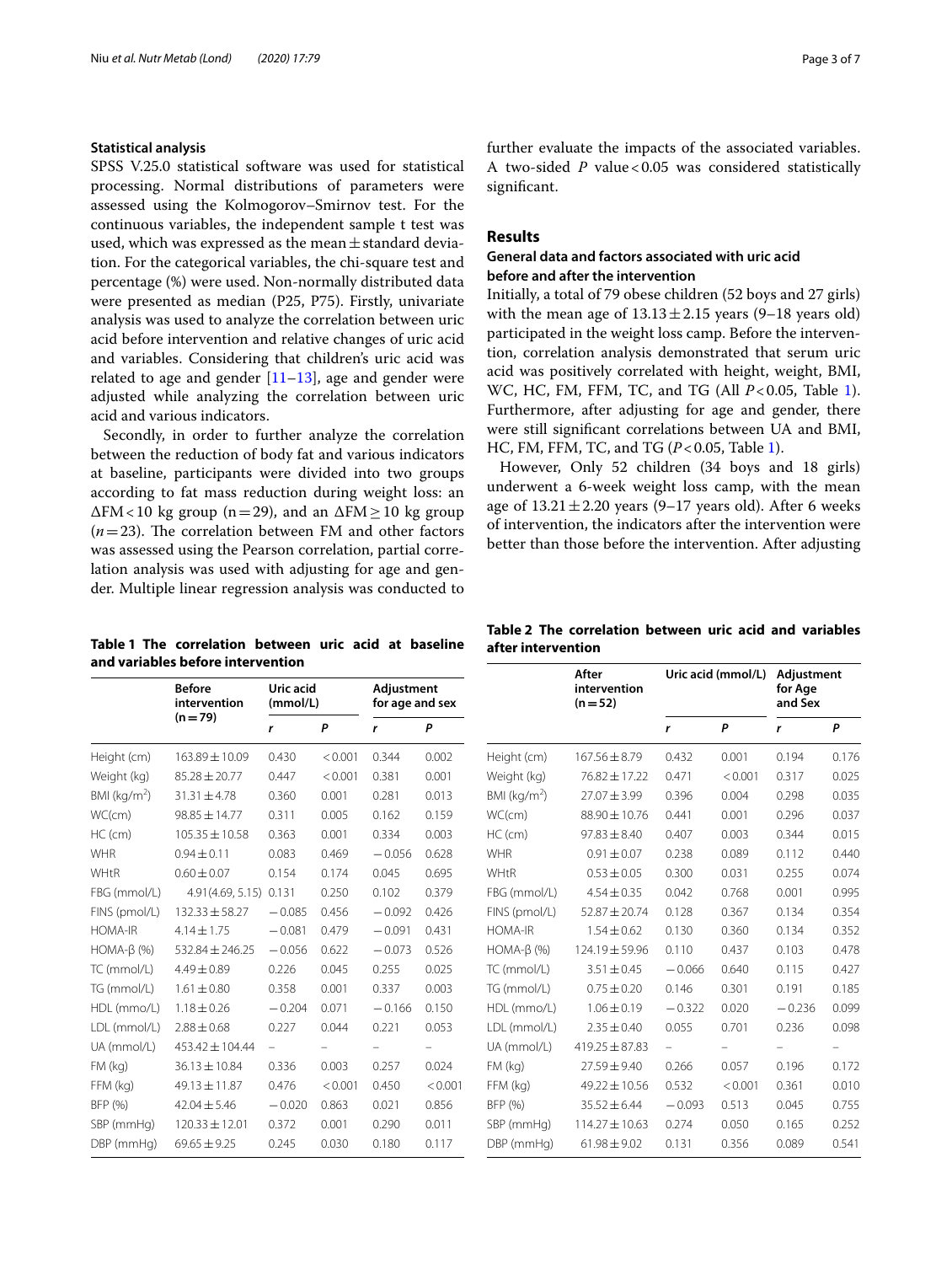# **Statistical analysis**

SPSS V.25.0 statistical software was used for statistical processing. Normal distributions of parameters were assessed using the Kolmogorov–Smirnov test. For the continuous variables, the independent sample t test was used, which was expressed as the mean $\pm$ standard deviation. For the categorical variables, the chi-square test and percentage (%) were used. Non-normally distributed data were presented as median (P25, P75). Firstly, univariate analysis was used to analyze the correlation between uric acid before intervention and relative changes of uric acid and variables. Considering that children's uric acid was related to age and gender  $[11-13]$  $[11-13]$  $[11-13]$ , age and gender were adjusted while analyzing the correlation between uric acid and various indicators.

Secondly, in order to further analyze the correlation between the reduction of body fat and various indicators at baseline, participants were divided into two groups according to fat mass reduction during weight loss: an  $\Delta FM < 10$  kg group (n=29), and an  $\Delta FM \ge 10$  kg group  $(n=23)$ . The correlation between FM and other factors was assessed using the Pearson correlation, partial correlation analysis was used with adjusting for age and gender. Multiple linear regression analysis was conducted to further evaluate the impacts of the associated variables. A two-sided *P* value<0.05 was considered statistically signifcant.

# **Results**

# **General data and factors associated with uric acid before and after the intervention**

Initially, a total of 79 obese children (52 boys and 27 girls) with the mean age of  $13.13 \pm 2.15$  years (9-18 years old) participated in the weight loss camp. Before the intervention, correlation analysis demonstrated that serum uric acid was positively correlated with height, weight, BMI, WC, HC, FM, FFM, TC, and TG (All *P*<0.05, Table [1](#page-2-0)). Furthermore, after adjusting for age and gender, there were still signifcant correlations between UA and BMI, HC, FM, FFM, TC, and TG ( $P < 0.05$ , Table [1](#page-2-0)).

However, Only 52 children (34 boys and 18 girls) underwent a 6-week weight loss camp, with the mean age of  $13.21 \pm 2.20$  years (9–17 years old). After 6 weeks of intervention, the indicators after the intervention were better than those before the intervention. After adjusting

<span id="page-2-0"></span>**Table 1 The correlation between uric acid at baseline and variables before intervention**

|                            | <b>Before</b><br>intervention | Uric acid<br>(mmol/L) |         | Adjustment<br>for age and sex |         |                           |
|----------------------------|-------------------------------|-----------------------|---------|-------------------------------|---------|---------------------------|
|                            | $(n=79)$                      | r                     | P       | r                             | P       |                           |
| Height (cm)                | 163.89 ± 10.09                | 0.430                 | < 0.001 | 0.344                         | 0.002   | Height (cm)               |
| Weight (kg)                | $85.28 \pm 20.77$             | 0.447                 | < 0.001 | 0.381                         | 0.001   | Weight (kg)               |
| $BMl$ (kg/m <sup>2</sup> ) | $31.31 \pm 4.78$              | 0.360                 | 0.001   | 0.281                         | 0.013   | $BM$ (kg/m <sup>2</sup> ) |
| WC(cm)                     | $98.85 \pm 14.77$             | 0.311                 | 0.005   | 0.162                         | 0.159   | WC(cm)                    |
| $HC$ (cm)                  | $105.35 \pm 10.58$            | 0.363                 | 0.001   | 0.334                         | 0.003   | $HC$ (cm)                 |
| <b>WHR</b>                 | $0.94 \pm 0.11$               | 0.083                 | 0.469   | $-0.056$                      | 0.628   | <b>WHR</b>                |
| WHtR                       | $0.60 \pm 0.07$               | 0.154                 | 0.174   | 0.045                         | 0.695   | WHtR                      |
| FBG (mmol/L)               | 4.91(4.69, 5.15)              | 0.131                 | 0.250   | 0.102                         | 0.379   | FBG (mmol/L)              |
| FINS (pmol/L)              | $132.33 \pm 58.27$            | $-0.085$              | 0.456   | $-0.092$                      | 0.426   | FINS (pmol/L)             |
| <b>HOMA-IR</b>             | $4.14 \pm 1.75$               | $-0.081$              | 0.479   | $-0.091$                      | 0.431   | <b>HOMA-IR</b>            |
| $HOMA-B (%)$               | $532.84 \pm 246.25$           | $-0.056$              | 0.622   | $-0.073$                      | 0.526   | $HOMA-B (%)$              |
| TC (mmol/L)                | $4.49 \pm 0.89$               | 0.226                 | 0.045   | 0.255                         | 0.025   | TC (mmol/L)               |
| TG (mmol/L)                | $1.61 \pm 0.80$               | 0.358                 | 0.001   | 0.337                         | 0.003   | TG (mmol/L)               |
| HDL (mmo/L)                | $1.18 \pm 0.26$               | $-0.204$              | 0.071   | $-0.166$                      | 0.150   | HDL (mmo/L)               |
| LDL (mmol/L)               | $2.88 \pm 0.68$               | 0.227                 | 0.044   | 0.221                         | 0.053   | LDL (mmol/L)              |
| UA (mmol/L)                | $453.42 \pm 104.44$           |                       |         |                               |         | UA (mmol/L)               |
| $FM$ ( $kg$ )              | $36.13 \pm 10.84$             | 0.336                 | 0.003   | 0.257                         | 0.024   | FM (kg)                   |
| FFM (kg)                   | 49.13 ± 11.87                 | 0.476                 | < 0.001 | 0.450                         | < 0.001 | FFM (kg)                  |
| BFP (%)                    | $42.04 \pm 5.46$              | $-0.020$              | 0.863   | 0.021                         | 0.856   | BFP (%)                   |
| SBP (mmHg)                 | $120.33 \pm 12.01$            | 0.372                 | 0.001   | 0.290                         | 0.011   | SBP (mmHg)                |
| DBP (mmHg)                 | $69.65 \pm 9.25$              | 0.245                 | 0.030   | 0.180                         | 0.117   | DBP (mmHg)                |

<span id="page-2-1"></span>**Table 2 The correlation between uric acid and variables after intervention**

|                 | After<br>intervention<br>$(n=52)$ | Uric acid (mmol/L) |         | Adjustment<br>for Age<br>and Sex |       |
|-----------------|-----------------------------------|--------------------|---------|----------------------------------|-------|
|                 |                                   | r                  | P       | r                                | P     |
| Height (cm)     | $167.56 \pm 8.79$                 | 0.432              | 0.001   | 0.194                            | 0.176 |
| Weight (kg)     | 76.82 ± 17.22                     | 0.471              | < 0.001 | 0.317                            | 0.025 |
| BMI ( $kg/m2$ ) | $27.07 \pm 3.99$                  | 0.396              | 0.004   | 0.298                            | 0.035 |
| WC(cm)          | 88.90 ± 10.76                     | 0.441              | 0.001   | 0.296                            | 0.037 |
| HC (cm)         | $97.83 \pm 8.40$                  | 0.407              | 0.003   | 0.344                            | 0.015 |
| <b>WHR</b>      | $0.91 \pm 0.07$                   | 0.238              | 0.089   | 0.112                            | 0.440 |
| <b>WHtR</b>     | $0.53 \pm 0.05$                   | 0.300              | 0.031   | 0.255                            | 0.074 |
| FBG (mmol/L)    | $4.54 \pm 0.35$                   | 0.042              | 0.768   | 0.001                            | 0.995 |
| FINS (pmol/L)   | 52.87 ± 20.74                     | 0.128              | 0.367   | 0.134                            | 0.354 |
| <b>HOMA-IR</b>  | $1.54 \pm 0.62$                   | 0.130              | 0.360   | 0.134                            | 0.352 |
| $HOMA-B (%)$    | 124.19 ± 59.96                    | 0.110              | 0.437   | 0.103                            | 0.478 |
| TC (mmol/L)     | $3.51 \pm 0.45$                   | $-0.066$           | 0.640   | 0.115                            | 0.427 |
| TG (mmol/L)     | $0.75 \pm 0.20$                   | 0.146              | 0.301   | 0.191                            | 0.185 |
| HDL (mmo/L)     | $1.06 \pm 0.19$                   | $-0.322$           | 0.020   | $-0.236$                         | 0.099 |
| LDL (mmol/L)    | $2.35 \pm 0.40$                   | 0.055              | 0.701   | 0.236                            | 0.098 |
| UA (mmol/L)     | $419.25 \pm 87.83$                |                    |         |                                  |       |
| $FM$ ( $kq$ )   | $27.59 \pm 9.40$                  | 0.266              | 0.057   | 0.196                            | 0.172 |
| FFM (kg)        | 49.22 ± 10.56                     | 0.532              | < 0.001 | 0.361                            | 0.010 |
| BFP (%)         | $35.52 \pm 6.44$                  | $-0.093$           | 0.513   | 0.045                            | 0.755 |
| SBP (mmHg)      | $114.27 \pm 10.63$                | 0.274              | 0.050   | 0.165                            | 0.252 |
| DBP (mmHg)      | $61.98 \pm 9.02$                  | 0.131              | 0.356   | 0.089                            | 0.541 |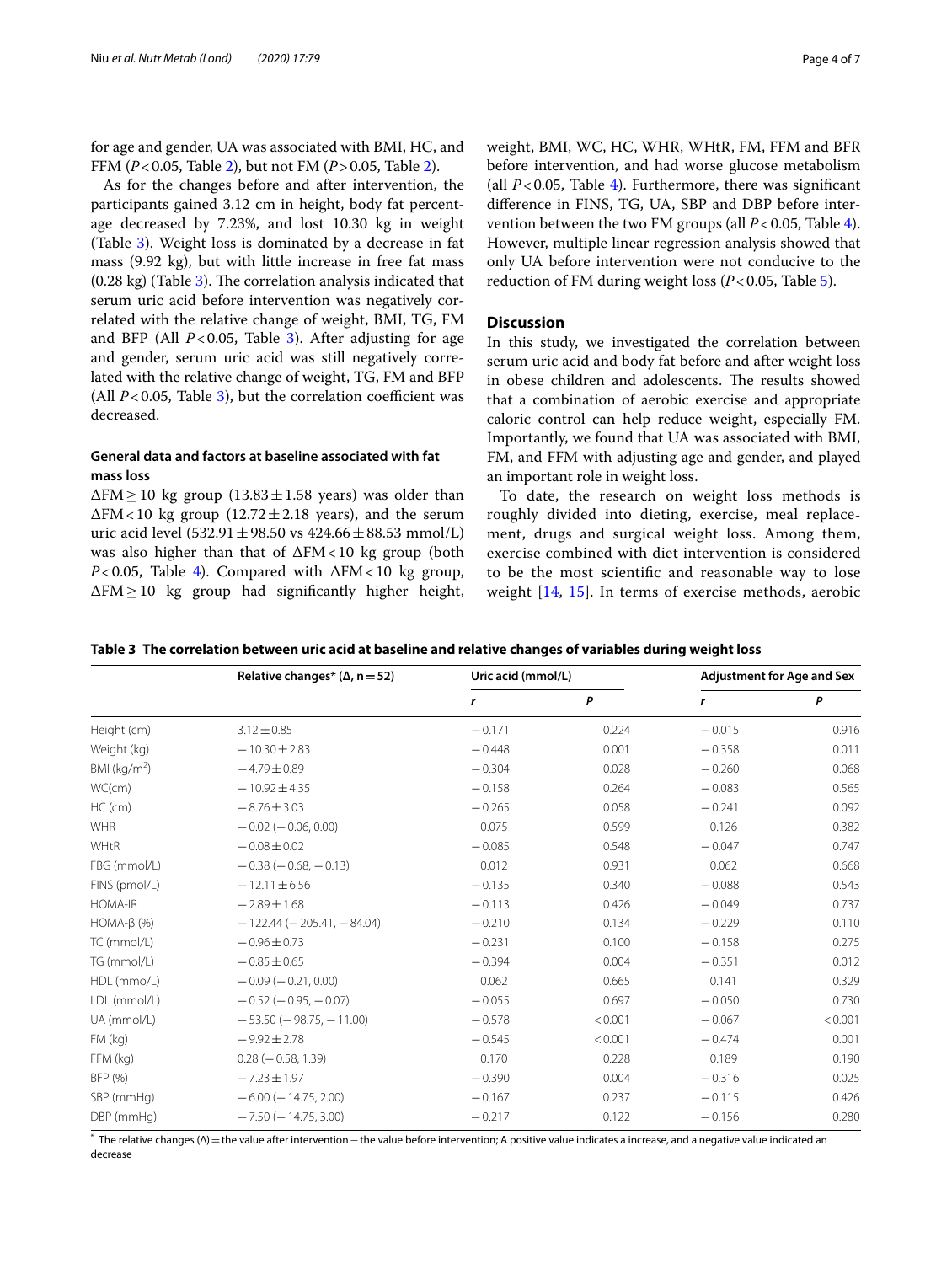for age and gender, UA was associated with BMI, HC, and FFM (*P*<0.05, Table [2\)](#page-2-1), but not FM (*P*>0.05, Table [2\)](#page-2-1).

As for the changes before and after intervention, the participants gained 3.12 cm in height, body fat percentage decreased by 7.23%, and lost 10.30 kg in weight (Table [3\)](#page-3-0). Weight loss is dominated by a decrease in fat mass (9.92 kg), but with little increase in free fat mass  $(0.28 \text{ kg})$  (Table [3](#page-3-0)). The correlation analysis indicated that serum uric acid before intervention was negatively correlated with the relative change of weight, BMI, TG, FM and BFP (All  $P < 0.05$ , Table [3](#page-3-0)). After adjusting for age and gender, serum uric acid was still negatively correlated with the relative change of weight, TG, FM and BFP (All  $P < 0.05$ , Table [3\)](#page-3-0), but the correlation coefficient was decreased.

# **General data and factors at baseline associated with fat mass loss**

 $\Delta FM \geq 10$  kg group  $(13.83 \pm 1.58$  years) was older than  $\Delta FM < 10$  kg group (12.72  $\pm$  2.18 years), and the serum uric acid level  $(532.91 \pm 98.50 \text{ vs } 424.66 \pm 88.53 \text{ mmol/L})$ was also higher than that of  $\Delta FM < 10$  kg group (both *P*<0.05, Table [4\)](#page-4-0). Compared with  $\Delta FM < 10$  kg group, ΔFM≥10 kg group had signifcantly higher height, weight, BMI, WC, HC, WHR, WHtR, FM, FFM and BFR before intervention, and had worse glucose metabolism (all  $P < 0.05$ , Table [4\)](#page-4-0). Furthermore, there was significant diference in FINS, TG, UA, SBP and DBP before intervention between the two FM groups (all *P*<0.05, Table [4](#page-4-0)). However, multiple linear regression analysis showed that only UA before intervention were not conducive to the

## **Discussion**

In this study, we investigated the correlation between serum uric acid and body fat before and after weight loss in obese children and adolescents. The results showed that a combination of aerobic exercise and appropriate caloric control can help reduce weight, especially FM. Importantly, we found that UA was associated with BMI, FM, and FFM with adjusting age and gender, and played an important role in weight loss.

reduction of FM during weight loss  $(P<0.05$ , Table [5](#page-4-1)).

To date, the research on weight loss methods is roughly divided into dieting, exercise, meal replacement, drugs and surgical weight loss. Among them, exercise combined with diet intervention is considered to be the most scientifc and reasonable way to lose weight [[14,](#page-5-10) [15\]](#page-6-0). In terms of exercise methods, aerobic

|                          | Relative changes* ( $\Delta$ , n = 52) | Uric acid (mmol/L) |         | <b>Adjustment for Age and Sex</b> |         |
|--------------------------|----------------------------------------|--------------------|---------|-----------------------------------|---------|
|                          |                                        | r                  | P       | r                                 | P       |
| Height (cm)              | $3.12 \pm 0.85$                        | $-0.171$           | 0.224   | $-0.015$                          | 0.916   |
| Weight (kg)              | $-10.30 \pm 2.83$                      | $-0.448$           | 0.001   | $-0.358$                          | 0.011   |
| BMI (kg/m <sup>2</sup> ) | $-4.79 \pm 0.89$                       | $-0.304$           | 0.028   | $-0.260$                          | 0.068   |
| WC(cm)                   | $-10.92 \pm 4.35$                      | $-0.158$           | 0.264   | $-0.083$                          | 0.565   |
| HC (cm)                  | $-8.76 \pm 3.03$                       | $-0.265$           | 0.058   | $-0.241$                          | 0.092   |
| <b>WHR</b>               | $-0.02$ ( $-0.06, 0.00$ )              | 0.075              | 0.599   | 0.126                             | 0.382   |
| <b>WHtR</b>              | $-0.08 \pm 0.02$                       | $-0.085$           | 0.548   | $-0.047$                          | 0.747   |
| FBG (mmol/L)             | $-0.38(-0.68,-0.13)$                   | 0.012              | 0.931   | 0.062                             | 0.668   |
| FINS (pmol/L)            | $-12.11 \pm 6.56$                      | $-0.135$           | 0.340   | $-0.088$                          | 0.543   |
| HOMA-IR                  | $-2.89 \pm 1.68$                       | $-0.113$           | 0.426   | $-0.049$                          | 0.737   |
| $HOMA-B (%)$             | $-122.44 (-205.41, -84.04)$            | $-0.210$           | 0.134   | $-0.229$                          | 0.110   |
| TC (mmol/L)              | $-0.96 \pm 0.73$                       | $-0.231$           | 0.100   | $-0.158$                          | 0.275   |
| TG (mmol/L)              | $-0.85 \pm 0.65$                       | $-0.394$           | 0.004   | $-0.351$                          | 0.012   |
| HDL (mmo/L)              | $-0.09$ ( $-0.21$ , 0.00)              | 0.062              | 0.665   | 0.141                             | 0.329   |
| LDL (mmol/L)             | $-0.52$ ( $-0.95$ , $-0.07$ )          | $-0.055$           | 0.697   | $-0.050$                          | 0.730   |
| UA (mmol/L)              | $-53.50$ ( $-98.75$ , $-11.00$ )       | $-0.578$           | < 0.001 | $-0.067$                          | < 0.001 |
| FM (kg)                  | $-9.92 \pm 2.78$                       | $-0.545$           | < 0.001 | $-0.474$                          | 0.001   |
| FFM (kg)                 | $0.28 (-0.58, 1.39)$                   | 0.170              | 0.228   | 0.189                             | 0.190   |
| BFP (%)                  | $-7.23 \pm 1.97$                       | $-0.390$           | 0.004   | $-0.316$                          | 0.025   |
| SBP (mmHg)               | $-6.00$ ( $-14.75$ , 2.00)             | $-0.167$           | 0.237   | $-0.115$                          | 0.426   |
| DBP (mmHg)               | $-7.50$ ( $-14.75$ , 3.00)             | $-0.217$           | 0.122   | $-0.156$                          | 0.280   |

<span id="page-3-0"></span>**Table 3 The correlation between uric acid at baseline and relative changes of variables during weight loss**

\* The relative changes (Δ)=the value after intervention−the value before intervention; A positive value indicates a increase, and a negative value indicated an decrease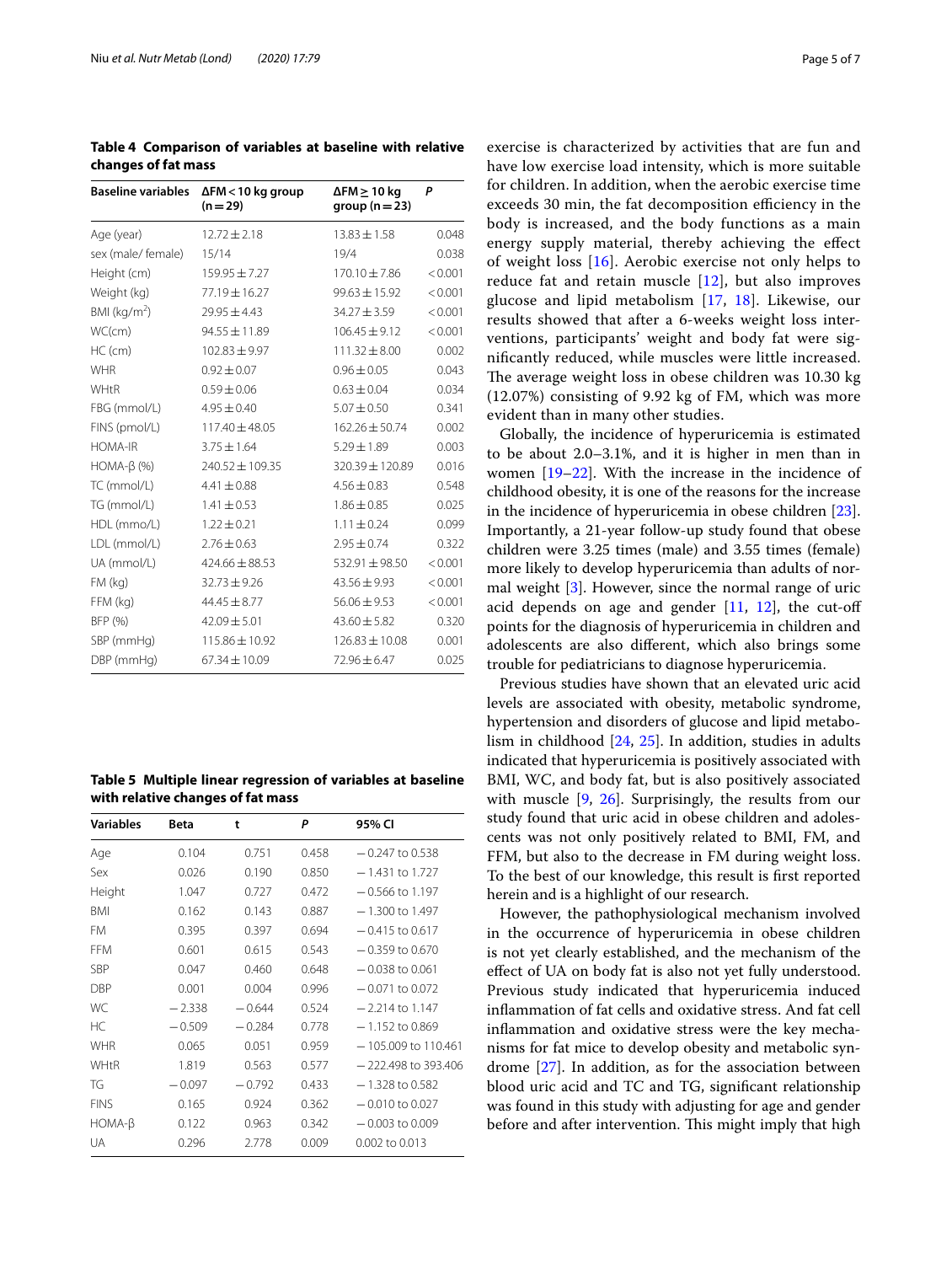<span id="page-4-0"></span>**Table 4 Comparison of variables at baseline with relative changes of fat mass**

| <b>Baseline variables</b> | $\Delta$ FM < 10 kg group<br>$(n=29)$ | ΔFM ≥ 10 kg<br>group $(n=23)$ | P       |
|---------------------------|---------------------------------------|-------------------------------|---------|
| Age (year)                | $12.72 \pm 2.18$                      | $13.83 \pm 1.58$              | 0.048   |
| sex (male/ female)        | 15/14                                 | 19/4                          | 0.038   |
| Height (cm)               | $159.95 \pm 7.27$                     | $170.10 + 7.86$               | < 0.001 |
| Weight (kg)               | 77.19 ± 16.27                         | $99.63 \pm 15.92$             | < 0.001 |
| BMI ( $kg/m2$ )           | $29.95 \pm 4.43$                      | $34.27 \pm 3.59$              | < 0.001 |
| WC(cm)                    | $94.55 \pm 11.89$                     | $106.45 \pm 9.12$             | < 0.001 |
| $HC$ (cm)                 | $102.83 \pm 9.97$                     | $111.32 \pm 8.00$             | 0.002   |
| <b>WHR</b>                | $0.92 \pm 0.07$                       | $0.96 \pm 0.05$               | 0.043   |
| <b>WHtR</b>               | $0.59 \pm 0.06$                       | $0.63 \pm 0.04$               | 0.034   |
| FBG (mmol/L)              | $4.95 \pm 0.40$                       | $5.07 \pm 0.50$               | 0.341   |
| FINS (pmol/L)             | 117.40 ± 48.05                        | $162.26 \pm 50.74$            | 0.002   |
| <b>HOMA-IR</b>            | $3.75 \pm 1.64$                       | $5.29 \pm 1.89$               | 0.003   |
| $HOMA-B (%)$              | $240.52 \pm 109.35$                   | 320.39 ± 120.89               | 0.016   |
| TC (mmol/L)               | $4.41 \pm 0.88$                       | $4.56 \pm 0.83$               | 0.548   |
| TG (mmol/L)               | $1.41 \pm 0.53$                       | $1.86 \pm 0.85$               | 0.025   |
| HDL (mmo/L)               | $1.22 \pm 0.21$                       | $1.11 \pm 0.24$               | 0.099   |
| LDL (mmol/L)              | $2.76 \pm 0.63$                       | $2.95 \pm 0.74$               | 0.322   |
| UA (mmol/L)               | $424.66 \pm 88.53$                    | 532.91 ± 98.50                | < 0.001 |
| $FM$ ( $kg$ )             | $32.73 \pm 9.26$                      | $43.56 \pm 9.93$              | < 0.001 |
| FFM (kg)                  | $44.45 \pm 8.77$                      | $56.06 \pm 9.53$              | < 0.001 |
| BFP (%)                   | $42.09 \pm 5.01$                      | $43.60 \pm 5.82$              | 0.320   |
| SBP (mmHg)                | $115.86 \pm 10.92$                    | $126.83 \pm 10.08$            | 0.001   |
| DBP (mmHg)                | $67.34 \pm 10.09$                     | $72.96 \pm 6.47$              | 0.025   |

<span id="page-4-1"></span>**Table 5 Multiple linear regression of variables at baseline with relative changes of fat mass**

| <b>Variables</b> | <b>Beta</b> | t        | Ρ     | 95% CI                |
|------------------|-------------|----------|-------|-----------------------|
| Age              | 0.104       | 0.751    | 0.458 | $-0.247$ to 0.538     |
| Sex              | 0.026       | 0.190    | 0.850 | $-1.431$ to 1.727     |
| Height           | 1.047       | 0.727    | 0.472 | $-0.566$ to 1.197     |
| <b>BMI</b>       | 0.162       | 0.143    | 0.887 | $-1.300$ to 1.497     |
| <b>FM</b>        | 0.395       | 0.397    | 0.694 | $-0.415$ to 0.617     |
| <b>FFM</b>       | 0.601       | 0.615    | 0.543 | $-0.359$ to 0.670     |
| SBP              | 0.047       | 0.460    | 0.648 | $-0.038$ to 0.061     |
| <b>DBP</b>       | 0.001       | 0.004    | 0.996 | $-0.071$ to 0.072     |
| WC               | $-2.338$    | $-0.644$ | 0.524 | $-2.214$ to 1.147     |
| НC               | $-0.509$    | $-0.284$ | 0.778 | $-1.152$ to 0.869     |
| <b>WHR</b>       | 0.065       | 0.051    | 0.959 | $-105.009$ to 110.461 |
| <b>WHtR</b>      | 1.819       | 0.563    | 0.577 | $-222.498$ to 393.406 |
| TG               | $-0.097$    | $-0.792$ | 0.433 | $-1.328$ to 0.582     |
| <b>FINS</b>      | 0.165       | 0.924    | 0.362 | $-0.010$ to 0.027     |
| $HOMA-B$         | 0.122       | 0.963    | 0.342 | $-0.003$ to 0.009     |
| UA               | 0.296       | 2.778    | 0.009 | 0.002 to 0.013        |

exercise is characterized by activities that are fun and have low exercise load intensity, which is more suitable for children. In addition, when the aerobic exercise time exceeds 30 min, the fat decomposition efficiency in the body is increased, and the body functions as a main energy supply material, thereby achieving the efect of weight loss [\[16](#page-6-1)]. Aerobic exercise not only helps to reduce fat and retain muscle  $[12]$  $[12]$  $[12]$ , but also improves glucose and lipid metabolism [\[17,](#page-6-2) [18\]](#page-6-3). Likewise, our results showed that after a 6-weeks weight loss interventions, participants' weight and body fat were signifcantly reduced, while muscles were little increased. The average weight loss in obese children was 10.30 kg (12.07%) consisting of 9.92 kg of FM, which was more evident than in many other studies.

Globally, the incidence of hyperuricemia is estimated to be about 2.0–3.1%, and it is higher in men than in women [\[19](#page-6-4)[–22\]](#page-6-5). With the increase in the incidence of childhood obesity, it is one of the reasons for the increase in the incidence of hyperuricemia in obese children [\[23](#page-6-6)]. Importantly, a 21-year follow-up study found that obese children were 3.25 times (male) and 3.55 times (female) more likely to develop hyperuricemia than adults of normal weight [[3\]](#page-5-2). However, since the normal range of uric acid depends on age and gender  $[11, 12]$  $[11, 12]$  $[11, 12]$  $[11, 12]$ , the cut-off points for the diagnosis of hyperuricemia in children and adolescents are also diferent, which also brings some trouble for pediatricians to diagnose hyperuricemia.

Previous studies have shown that an elevated uric acid levels are associated with obesity, metabolic syndrome, hypertension and disorders of glucose and lipid metabolism in childhood [[24,](#page-6-7) [25\]](#page-6-8). In addition, studies in adults indicated that hyperuricemia is positively associated with BMI, WC, and body fat, but is also positively associated with muscle [[9,](#page-5-6) [26](#page-6-9)]. Surprisingly, the results from our study found that uric acid in obese children and adolescents was not only positively related to BMI, FM, and FFM, but also to the decrease in FM during weight loss. To the best of our knowledge, this result is frst reported herein and is a highlight of our research.

However, the pathophysiological mechanism involved in the occurrence of hyperuricemia in obese children is not yet clearly established, and the mechanism of the efect of UA on body fat is also not yet fully understood. Previous study indicated that hyperuricemia induced infammation of fat cells and oxidative stress. And fat cell infammation and oxidative stress were the key mechanisms for fat mice to develop obesity and metabolic syndrome [[27](#page-6-10)]. In addition, as for the association between blood uric acid and TC and TG, signifcant relationship was found in this study with adjusting for age and gender before and after intervention. This might imply that high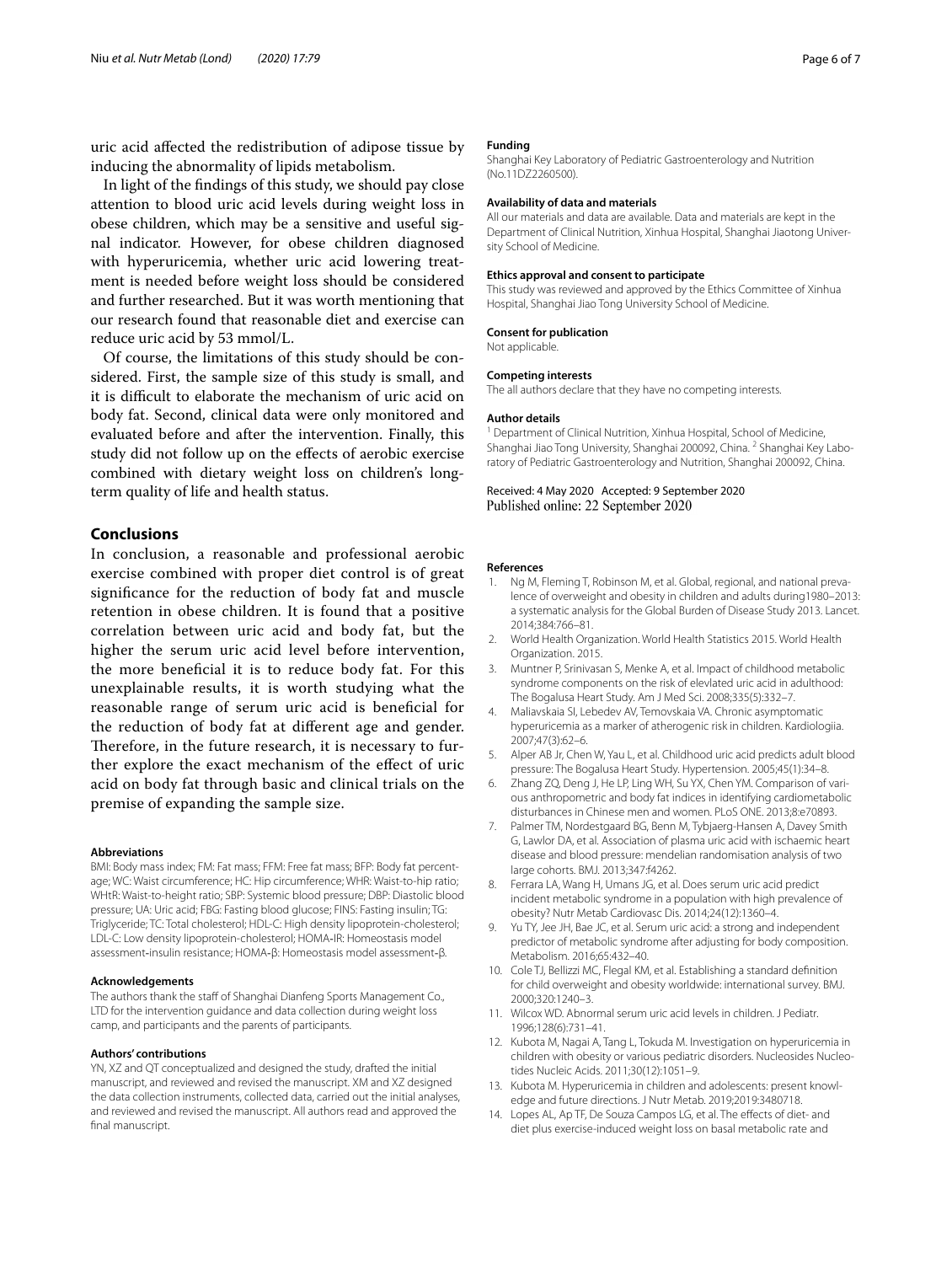uric acid afected the redistribution of adipose tissue by inducing the abnormality of lipids metabolism.

In light of the fndings of this study, we should pay close attention to blood uric acid levels during weight loss in obese children, which may be a sensitive and useful signal indicator. However, for obese children diagnosed with hyperuricemia, whether uric acid lowering treatment is needed before weight loss should be considered and further researched. But it was worth mentioning that our research found that reasonable diet and exercise can reduce uric acid by 53 mmol/L.

Of course, the limitations of this study should be considered. First, the sample size of this study is small, and it is difcult to elaborate the mechanism of uric acid on body fat. Second, clinical data were only monitored and evaluated before and after the intervention. Finally, this study did not follow up on the efects of aerobic exercise combined with dietary weight loss on children's longterm quality of life and health status.

## **Conclusions**

In conclusion, a reasonable and professional aerobic exercise combined with proper diet control is of great signifcance for the reduction of body fat and muscle retention in obese children. It is found that a positive correlation between uric acid and body fat, but the higher the serum uric acid level before intervention, the more benefcial it is to reduce body fat. For this unexplainable results, it is worth studying what the reasonable range of serum uric acid is benefcial for the reduction of body fat at diferent age and gender. Therefore, in the future research, it is necessary to further explore the exact mechanism of the efect of uric acid on body fat through basic and clinical trials on the premise of expanding the sample size.

#### **Abbreviations**

BMI: Body mass index; FM: Fat mass; FFM: Free fat mass; BFP: Body fat percentage; WC: Waist circumference; HC: Hip circumference; WHR: Waist-to-hip ratio; WHtR: Waist-to-height ratio; SBP: Systemic blood pressure; DBP: Diastolic blood pressure; UA: Uric acid; FBG: Fasting blood glucose; FINS: Fasting insulin; TG: Triglyceride; TC: Total cholesterol; HDL-C: High density lipoprotein-cholesterol; LDL-C: Low density lipoprotein-cholesterol; HOMA‐IR: Homeostasis model assessment‐insulin resistance; HOMA‐β: Homeostasis model assessment‐β.

#### **Acknowledgements**

The authors thank the staff of Shanghai Dianfeng Sports Management Co., LTD for the intervention guidance and data collection during weight loss camp, and participants and the parents of participants.

#### **Authors' contributions**

YN, XZ and QT conceptualized and designed the study, drafted the initial manuscript, and reviewed and revised the manuscript. XM and XZ designed the data collection instruments, collected data, carried out the initial analyses, and reviewed and revised the manuscript. All authors read and approved the fnal manuscript.

#### **Funding**

Shanghai Key Laboratory of Pediatric Gastroenterology and Nutrition (No.11DZ2260500).

#### **Availability of data and materials**

All our materials and data are available. Data and materials are kept in the Department of Clinical Nutrition, Xinhua Hospital, Shanghai Jiaotong University School of Medicine.

#### **Ethics approval and consent to participate**

This study was reviewed and approved by the Ethics Committee of Xinhua Hospital, Shanghai Jiao Tong University School of Medicine.

#### **Consent for publication**

Not applicable.

#### **Competing interests**

The all authors declare that they have no competing interests.

#### **Author details**

<sup>1</sup> Department of Clinical Nutrition, Xinhua Hospital, School of Medicine, Shanghai Jiao Tong University, Shanghai 200092, China. <sup>2</sup> Shanghai Key Laboratory of Pediatric Gastroenterology and Nutrition, Shanghai 200092, China.

Received: 4 May 2020 Accepted: 9 September 2020 Published online: 22 September 2020

#### **References**

- <span id="page-5-0"></span>1. Ng M, Fleming T, Robinson M, et al. Global, regional, and national prevalence of overweight and obesity in children and adults during1980–2013: a systematic analysis for the Global Burden of Disease Study 2013. Lancet. 2014;384:766–81.
- <span id="page-5-1"></span>2. World Health Organization. World Health Statistics 2015. World Health Organization. 2015.
- <span id="page-5-2"></span>3. Muntner P, Srinivasan S, Menke A, et al. Impact of childhood metabolic syndrome components on the risk of elevlated uric acid in adulthood: The Bogalusa Heart Study. Am J Med Sci. 2008;335(5):332–7.
- <span id="page-5-3"></span>4. Maliavskaia SI, Lebedev AV, Temovskaia VA. Chronic asymptomatic hyperuricemia as a marker of atherogenic risk in children. Kardiologiia. 2007;47(3):62–6.
- 5. Alper AB Jr, Chen W, Yau L, et al. Childhood uric acid predicts adult blood pressure: The Bogalusa Heart Study. Hypertension. 2005;45(1):34–8.
- 6. Zhang ZQ, Deng J, He LP, Ling WH, Su YX, Chen YM. Comparison of various anthropometric and body fat indices in identifying cardiometabolic disturbances in Chinese men and women. PLoS ONE. 2013;8:e70893.
- <span id="page-5-4"></span>7. Palmer TM, Nordestgaard BG, Benn M, Tybjaerg-Hansen A, Davey Smith G, Lawlor DA, et al. Association of plasma uric acid with ischaemic heart disease and blood pressure: mendelian randomisation analysis of two large cohorts. BMJ. 2013;347:f4262.
- <span id="page-5-5"></span>8. Ferrara LA, Wang H, Umans JG, et al. Does serum uric acid predict incident metabolic syndrome in a population with high prevalence of obesity? Nutr Metab Cardiovasc Dis. 2014;24(12):1360–4.
- <span id="page-5-6"></span>9. Yu TY, Jee JH, Bae JC, et al. Serum uric acid: a strong and independent predictor of metabolic syndrome after adjusting for body composition. Metabolism. 2016;65:432–40.
- <span id="page-5-7"></span>10. Cole TJ, Bellizzi MC, Flegal KM, et al. Establishing a standard defnition for child overweight and obesity worldwide: international survey. BMJ. 2000;320:1240–3.
- <span id="page-5-8"></span>11. Wilcox WD. Abnormal serum uric acid levels in children. J Pediatr. 1996;128(6):731–41.
- <span id="page-5-11"></span>12. Kubota M, Nagai A, Tang L, Tokuda M. Investigation on hyperuricemia in children with obesity or various pediatric disorders. Nucleosides Nucleotides Nucleic Acids. 2011;30(12):1051–9.
- <span id="page-5-9"></span>13. Kubota M. Hyperuricemia in children and adolescents: present knowledge and future directions. J Nutr Metab. 2019;2019:3480718.
- <span id="page-5-10"></span>14. Lopes AL, Ap TF, De Souza Campos LG, et al. The effects of diet- and diet plus exercise-induced weight loss on basal metabolic rate and